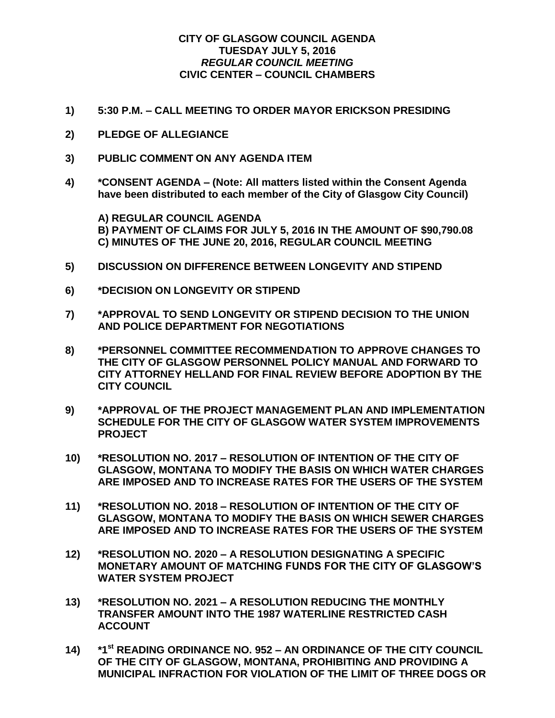## **CITY OF GLASGOW COUNCIL AGENDA TUESDAY JULY 5, 2016** *REGULAR COUNCIL MEETING* **CIVIC CENTER – COUNCIL CHAMBERS**

- **1) 5:30 P.M. – CALL MEETING TO ORDER MAYOR ERICKSON PRESIDING**
- **2) PLEDGE OF ALLEGIANCE**
- **3) PUBLIC COMMENT ON ANY AGENDA ITEM**
- **4) \*CONSENT AGENDA – (Note: All matters listed within the Consent Agenda have been distributed to each member of the City of Glasgow City Council)**

**A) REGULAR COUNCIL AGENDA B) PAYMENT OF CLAIMS FOR JULY 5, 2016 IN THE AMOUNT OF \$90,790.08 C) MINUTES OF THE JUNE 20, 2016, REGULAR COUNCIL MEETING**

- **5) DISCUSSION ON DIFFERENCE BETWEEN LONGEVITY AND STIPEND**
- **6) \*DECISION ON LONGEVITY OR STIPEND**
- **7) \*APPROVAL TO SEND LONGEVITY OR STIPEND DECISION TO THE UNION AND POLICE DEPARTMENT FOR NEGOTIATIONS**
- **8) \*PERSONNEL COMMITTEE RECOMMENDATION TO APPROVE CHANGES TO THE CITY OF GLASGOW PERSONNEL POLICY MANUAL AND FORWARD TO CITY ATTORNEY HELLAND FOR FINAL REVIEW BEFORE ADOPTION BY THE CITY COUNCIL**
- **9) \*APPROVAL OF THE PROJECT MANAGEMENT PLAN AND IMPLEMENTATION SCHEDULE FOR THE CITY OF GLASGOW WATER SYSTEM IMPROVEMENTS PROJECT**
- **10) \*RESOLUTION NO. 2017 – RESOLUTION OF INTENTION OF THE CITY OF GLASGOW, MONTANA TO MODIFY THE BASIS ON WHICH WATER CHARGES ARE IMPOSED AND TO INCREASE RATES FOR THE USERS OF THE SYSTEM**
- **11) \*RESOLUTION NO. 2018 – RESOLUTION OF INTENTION OF THE CITY OF GLASGOW, MONTANA TO MODIFY THE BASIS ON WHICH SEWER CHARGES ARE IMPOSED AND TO INCREASE RATES FOR THE USERS OF THE SYSTEM**
- **12) \*RESOLUTION NO. 2020 – A RESOLUTION DESIGNATING A SPECIFIC MONETARY AMOUNT OF MATCHING FUNDS FOR THE CITY OF GLASGOW'S WATER SYSTEM PROJECT**
- **13) \*RESOLUTION NO. 2021 – A RESOLUTION REDUCING THE MONTHLY TRANSFER AMOUNT INTO THE 1987 WATERLINE RESTRICTED CASH ACCOUNT**
- **14) \*1 st READING ORDINANCE NO. 952 – AN ORDINANCE OF THE CITY COUNCIL OF THE CITY OF GLASGOW, MONTANA, PROHIBITING AND PROVIDING A MUNICIPAL INFRACTION FOR VIOLATION OF THE LIMIT OF THREE DOGS OR**